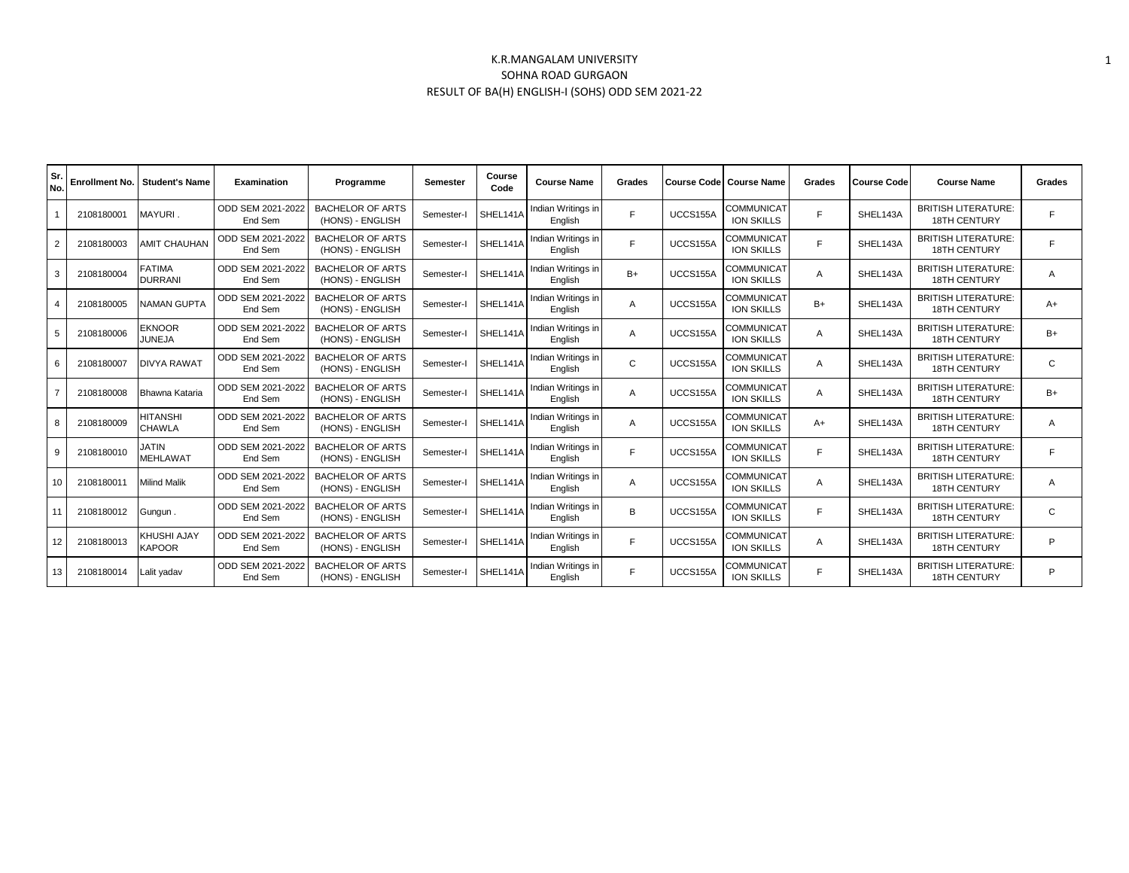## K.R.MANGALAM UNIVERSITY SOHNA ROAD GURGAON RESULT OF BA(H) ENGLISH-I (SOHS) ODD SEM 2021-22

| Sr.<br>No.     | <b>Enrollment No.</b> | <b>Student's Name</b>               | <b>Examination</b>           | Programme                                   | Semester   | Course<br>Code | <b>Course Name</b>            | Grades       |          | Course Code   Course Name       | Grades       | <b>Course Code</b> | <b>Course Name</b>                                | Grades         |
|----------------|-----------------------|-------------------------------------|------------------------------|---------------------------------------------|------------|----------------|-------------------------------|--------------|----------|---------------------------------|--------------|--------------------|---------------------------------------------------|----------------|
|                | 2108180001            | MAYURI.                             | ODD SEM 2021-2022<br>End Sem | <b>BACHELOR OF ARTS</b><br>(HONS) - ENGLISH | Semester-I | SHEL141A       | Indian Writings in<br>English | F            | UCCS155A | COMMUNICAT<br><b>ION SKILLS</b> | E            | SHEL143A           | <b>BRITISH LITERATURE:</b><br><b>18TH CENTURY</b> | F              |
| 2              | 2108180003            | <b>AMIT CHAUHAN</b>                 | ODD SEM 2021-2022<br>End Sem | <b>BACHELOR OF ARTS</b><br>(HONS) - ENGLISH | Semester-I | SHEL141A       | Indian Writings in<br>English | F            | UCCS155A | COMMUNICAT<br><b>ION SKILLS</b> | E            | SHEL143A           | <b>BRITISH LITERATURE:</b><br><b>18TH CENTURY</b> | F              |
| 3              | 2108180004            | <b>FATIMA</b><br><b>DURRANI</b>     | ODD SEM 2021-2022<br>End Sem | <b>BACHELOR OF ARTS</b><br>(HONS) - ENGLISH | Semester-I | SHEL141A       | Indian Writings in<br>English | $B+$         | UCCS155A | COMMUNICAT<br><b>ION SKILLS</b> | A            | SHEL143A           | <b>BRITISH LITERATURE:</b><br><b>18TH CENTURY</b> | $\overline{A}$ |
| 4              | 2108180005            | <b>NAMAN GUPTA</b>                  | ODD SEM 2021-2022<br>End Sem | <b>BACHELOR OF ARTS</b><br>(HONS) - ENGLISH | Semester-  | SHEL141A       | Indian Writings in<br>English | A            | UCCS155A | COMMUNICAT<br><b>ION SKILLS</b> | $B+$         | SHEL143A           | <b>BRITISH LITERATURE:</b><br>18TH CENTURY        | $A+$           |
| 5              | 2108180006            | <b>EKNOOR</b><br><b>JUNEJA</b>      | ODD SEM 2021-2022<br>End Sem | <b>BACHELOR OF ARTS</b><br>(HONS) - ENGLISH | Semester-I | SHEL141A       | Indian Writings in<br>English | Α            | UCCS155A | COMMUNICAT<br><b>ION SKILLS</b> | A            | SHEL143A           | <b>BRITISH LITERATURE:</b><br><b>18TH CENTURY</b> | $B+$           |
| 6              | 2108180007            | <b>DIVYA RAWAT</b>                  | ODD SEM 2021-2022<br>End Sem | <b>BACHELOR OF ARTS</b><br>(HONS) - ENGLISH | Semester-  | SHEL141A       | Indian Writings in<br>English | $\mathsf{C}$ | UCCS155A | <b>COMMUNICAT</b><br>ION SKILLS | A            | SHEL143A           | <b>BRITISH LITERATURE:</b><br><b>18TH CENTURY</b> | $\mathsf{C}$   |
| $\overline{7}$ | 2108180008            | Bhawna Kataria                      | ODD SEM 2021-2022<br>End Sem | <b>BACHELOR OF ARTS</b><br>(HONS) - ENGLISH | Semester-  | SHEL141A       | Indian Writings in<br>English | Α            | UCCS155A | COMMUNICAT<br>ION SKILLS        | Α            | SHEL143A           | <b>BRITISH LITERATURE:</b><br><b>18TH CENTURY</b> | $B+$           |
| 8              | 2108180009            | <b>HITANSHI</b><br><b>CHAWLA</b>    | ODD SEM 2021-2022<br>End Sem | <b>BACHELOR OF ARTS</b><br>(HONS) - ENGLISH | Semester-I | SHEL141A       | Indian Writings in<br>English | Α            | UCCS155A | COMMUNICAT<br>ION SKILLS        | $A+$         | SHEL143A           | <b>BRITISH LITERATURE:</b><br><b>18TH CENTURY</b> | A              |
| 9              | 2108180010            | <b>JATIN</b><br><b>MEHLAWAT</b>     | ODD SEM 2021-2022<br>End Sem | <b>BACHELOR OF ARTS</b><br>(HONS) - ENGLISH | Semester-I | SHEL141A       | Indian Writings in<br>English | F            | UCCS155A | COMMUNICAT<br>ION SKILLS        | F            | SHEL143A           | <b>BRITISH LITERATURE:</b><br><b>18TH CENTURY</b> | F              |
| 10             | 2108180011            | <b>Milind Malik</b>                 | ODD SEM 2021-2022<br>End Sem | <b>BACHELOR OF ARTS</b><br>(HONS) - ENGLISH | Semester-  | SHEL141A       | Indian Writings in<br>English | A            | UCCS155A | COMMUNICAT<br><b>ION SKILLS</b> | A            | SHEL143A           | <b>BRITISH LITERATURE:</b><br><b>18TH CENTURY</b> | $\overline{A}$ |
| 11             | 2108180012            | Gungun.                             | ODD SEM 2021-2022<br>End Sem | <b>BACHELOR OF ARTS</b><br>(HONS) - ENGLISH | Semester-I | SHEL141A       | Indian Writings in<br>Enalish | B            | UCCS155A | COMMUNICAT<br><b>ION SKILLS</b> | $\mathbf{r}$ | SHEL143A           | <b>BRITISH LITERATURE:</b><br><b>18TH CENTURY</b> | $\mathsf{C}$   |
| 12             | 2108180013            | <b>KHUSHI AJAY</b><br><b>KAPOOR</b> | ODD SEM 2021-2022<br>End Sem | <b>BACHELOR OF ARTS</b><br>(HONS) - ENGLISH | Semester-I | SHEL141A       | Indian Writings in<br>English | F            | UCCS155A | <b>COMMUNICAT</b><br>ION SKILLS | A            | SHEL143A           | <b>BRITISH LITERATURE:</b><br><b>18TH CENTURY</b> | P              |
| 13             | 2108180014            | Lalit yadav                         | ODD SEM 2021-2022<br>End Sem | <b>BACHELOR OF ARTS</b><br>(HONS) - ENGLISH | Semester-I | SHEL141A       | Indian Writings in<br>English | F            | UCCS155A | COMMUNICAT<br><b>ION SKILLS</b> | F            | SHEL143A           | <b>BRITISH LITERATURE:</b><br><b>18TH CENTURY</b> | P              |